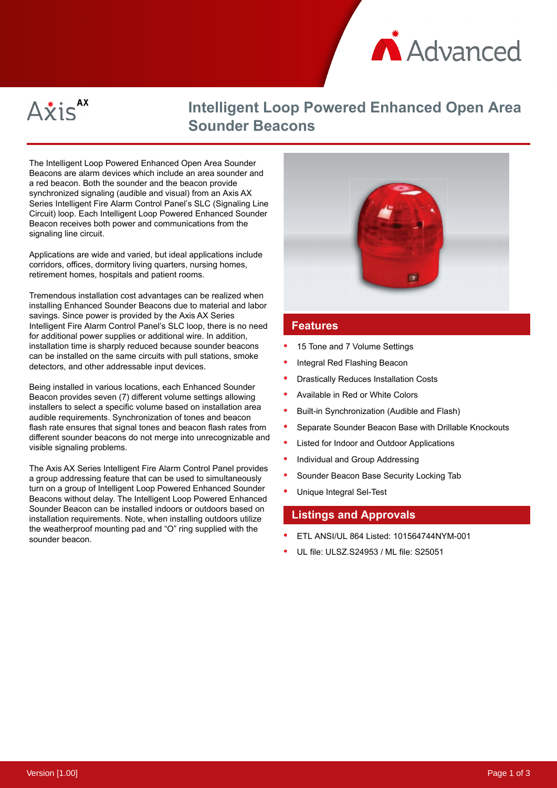



## **Intelligent Loop Powered Enhanced Open Area Sounder Beacons**

The Intelligent Loop Powered Enhanced Open Area Sounder Beacons are alarm devices which include an area sounder and a red beacon. Both the sounder and the beacon provide synchronized signaling (audible and visual) from an Axis AX Series Intelligent Fire Alarm Control Panel's SLC (Signaling Line Circuit) loop. Each Intelligent Loop Powered Enhanced Sounder Beacon receives both power and communications from the signaling line circuit.

Applications are wide and varied, but ideal applications include corridors, offices, dormitory living quarters, nursing homes, retirement homes, hospitals and patient rooms.

Tremendous installation cost advantages can be realized when installing Enhanced Sounder Beacons due to material and labor savings. Since power is provided by the Axis AX Series Intelligent Fire Alarm Control Panel's SLC loop, there is no need for additional power supplies or additional wire. In addition, installation time is sharply reduced because sounder beacons can be installed on the same circuits with pull stations, smoke detectors, and other addressable input devices.

Being installed in various locations, each Enhanced Sounder Beacon provides seven (7) different volume settings allowing installers to select a specific volume based on installation area audible requirements. Synchronization of tones and beacon flash rate ensures that signal tones and beacon flash rates from different sounder beacons do not merge into unrecognizable and visible signaling problems.

The Axis AX Series Intelligent Fire Alarm Control Panel provides a group addressing feature that can be used to simultaneously turn on a group of Intelligent Loop Powered Enhanced Sounder Beacons without delay. The Intelligent Loop Powered Enhanced Sounder Beacon can be installed indoors or outdoors based on installation requirements. Note, when installing outdoors utilize the weatherproof mounting pad and "O" ring supplied with the sounder beacon.



## **Features**

- 15 Tone and 7 Volume Settings
- Integral Red Flashing Beacon
- Drastically Reduces Installation Costs
- Available in Red or White Colors
- Built-in Synchronization (Audible and Flash)
- Separate Sounder Beacon Base with Drillable Knockouts
- Listed for Indoor and Outdoor Applications
- Individual and Group Addressing
- Sounder Beacon Base Security Locking Tab
- Unique Integral Sel-Test

## **Listings and Approvals**

- ETL ANSI/UL 864 Listed: 101564744NYM-001
- UL file: ULSZ.S24953 / ML file: S25051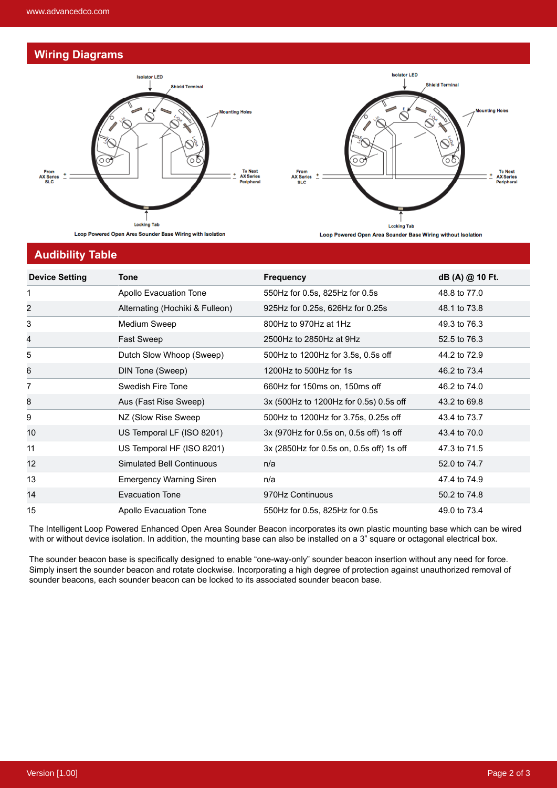## **Wiring Diagrams**





**Audibility Table**

| <b>Device Setting</b> | <b>Tone</b>                      | <b>Frequency</b>                         | dB (A) @ 10 Ft. |
|-----------------------|----------------------------------|------------------------------------------|-----------------|
| 1                     | Apollo Evacuation Tone           | 550Hz for 0.5s, 825Hz for 0.5s           | 48.8 to 77.0    |
| 2                     | Alternating (Hochiki & Fulleon)  | 925Hz for 0.25s, 626Hz for 0.25s         | 48.1 to 73.8    |
| 3                     | Medium Sweep                     | 800Hz to 970Hz at 1Hz                    | 49.3 to 76.3    |
| 4                     | Fast Sweep                       | 2500Hz to 2850Hz at 9Hz                  | 52.5 to 76.3    |
| 5                     | Dutch Slow Whoop (Sweep)         | 500Hz to 1200Hz for 3.5s, 0.5s off       | 44.2 to 72.9    |
| 6                     | DIN Tone (Sweep)                 | 1200Hz to 500Hz for 1s                   | 46.2 to 73.4    |
| 7                     | Swedish Fire Tone                | 660Hz for 150ms on, 150ms off            | 46.2 to 74.0    |
| 8                     | Aus (Fast Rise Sweep)            | 3x (500Hz to 1200Hz for 0.5s) 0.5s off   | 43.2 to 69.8    |
| 9                     | NZ (Slow Rise Sweep              | 500Hz to 1200Hz for 3.75s, 0.25s off     | 43.4 to 73.7    |
| 10                    | US Temporal LF (ISO 8201)        | 3x (970Hz for 0.5s on, 0.5s off) 1s off  | 43.4 to 70.0    |
| 11                    | US Temporal HF (ISO 8201)        | 3x (2850Hz for 0.5s on, 0.5s off) 1s off | 47.3 to 71.5    |
| 12                    | <b>Simulated Bell Continuous</b> | n/a                                      | 52.0 to 74.7    |
| 13                    | <b>Emergency Warning Siren</b>   | n/a                                      | 47.4 to 74.9    |
| 14                    | Evacuation Tone                  | 970Hz Continuous                         | 50.2 to 74.8    |
| 15                    | Apollo Evacuation Tone           | 550Hz for 0.5s, 825Hz for 0.5s           | 49.0 to 73.4    |

The Intelligent Loop Powered Enhanced Open Area Sounder Beacon incorporates its own plastic mounting base which can be wired with or without device isolation. In addition, the mounting base can also be installed on a 3" square or octagonal electrical box.

The sounder beacon base is specifically designed to enable "one-way-only" sounder beacon insertion without any need for force. Simply insert the sounder beacon and rotate clockwise. Incorporating a high degree of protection against unauthorized removal of sounder beacons, each sounder beacon can be locked to its associated sounder beacon base.